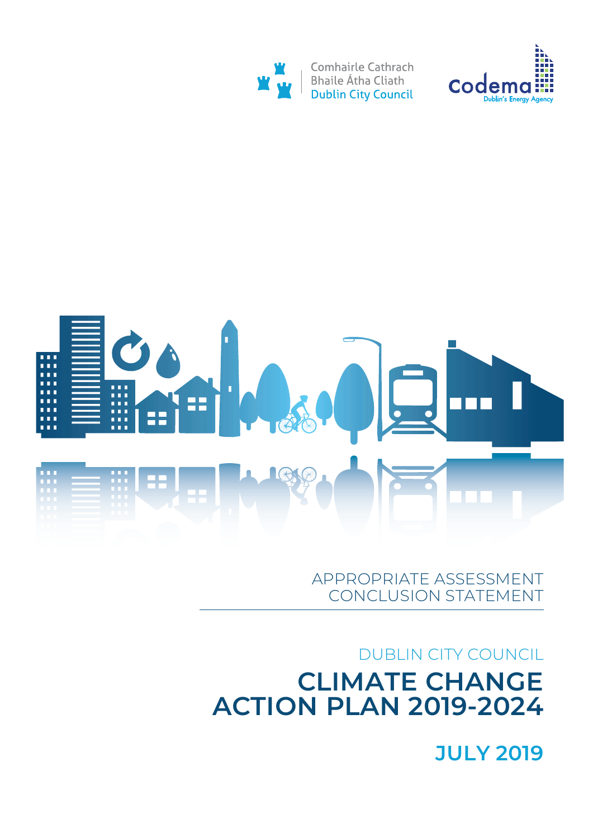## JULY 2019

## DUBLIN CITY COUNCIL CLIMATE CHANGE ACTION PLAN 2019-2024

## APPROPRIATE ASSESSMENT CONCLUSION STATEMENT





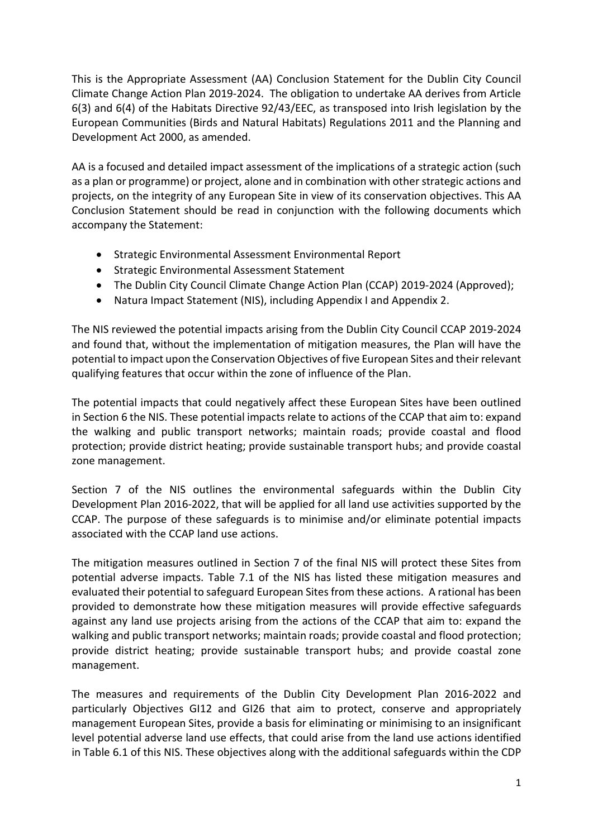This is the Appropriate Assessment (AA) Conclusion Statement for the Dublin City Council Climate Change Action Plan 2019-2024. The obligation to undertake AA derives from Article 6(3) and 6(4) of the Habitats Directive 92/43/EEC, as transposed into Irish legislation by the European Communities (Birds and Natural Habitats) Regulations 2011 and the Planning and Development Act 2000, as amended.

AA is a focused and detailed impact assessment of the implications of a strategic action (such as a plan or programme) or project, alone and in combination with other strategic actions and projects, on the integrity of any European Site in view of its conservation objectives. This AA Conclusion Statement should be read in conjunction with the following documents which accompany the Statement:

- Strategic Environmental Assessment Environmental Report
- Strategic Environmental Assessment Statement
- The Dublin City Council Climate Change Action Plan (CCAP) 2019-2024 (Approved);
- Natura Impact Statement (NIS), including Appendix I and Appendix 2.

The NIS reviewed the potential impacts arising from the Dublin City Council CCAP 2019-2024 and found that, without the implementation of mitigation measures, the Plan will have the potential to impact upon the Conservation Objectives of five European Sites and their relevant qualifying features that occur within the zone of influence of the Plan.

The potential impacts that could negatively affect these European Sites have been outlined in Section 6 the NIS. These potential impacts relate to actions of the CCAP that aim to: expand the walking and public transport networks; maintain roads; provide coastal and flood protection; provide district heating; provide sustainable transport hubs; and provide coastal zone management.

Section 7 of the NIS outlines the environmental safeguards within the Dublin City Development Plan 2016-2022, that will be applied for all land use activities supported by the CCAP. The purpose of these safeguards is to minimise and/or eliminate potential impacts associated with the CCAP land use actions.

The mitigation measures outlined in Section 7 of the final NIS will protect these Sites from potential adverse impacts. Table 7.1 of the NIS has listed these mitigation measures and evaluated their potential to safeguard European Sites from these actions. A rational has been provided to demonstrate how these mitigation measures will provide effective safeguards against any land use projects arising from the actions of the CCAP that aim to: expand the walking and public transport networks; maintain roads; provide coastal and flood protection; provide district heating; provide sustainable transport hubs; and provide coastal zone management.

The measures and requirements of the Dublin City Development Plan 2016-2022 and particularly Objectives GI12 and GI26 that aim to protect, conserve and appropriately management European Sites, provide a basis for eliminating or minimising to an insignificant level potential adverse land use effects, that could arise from the land use actions identified in Table 6.1 of this NIS. These objectives along with the additional safeguards within the CDP